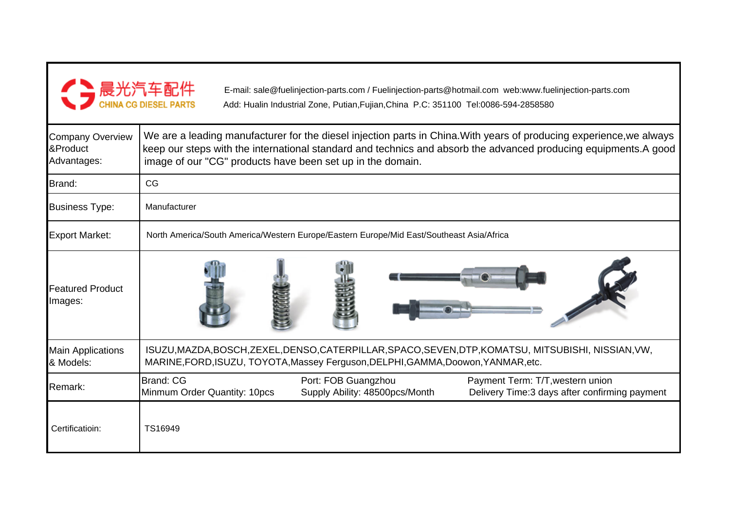

E-mail: sale@fuelinjection-parts.com / Fuelinjection-parts@hotmail.com web:www.fuelinjection-parts.comAdd: Hualin Industrial Zone, Putian,Fujian,China P.C: 351100 Tel:0086-594-2858580

| <b>Company Overview</b><br>∏<br>Advantages: | We are a leading manufacturer for the diesel injection parts in China. With years of producing experience, we always<br>keep our steps with the international standard and technics and absorb the advanced producing equipments. A good<br>image of our "CG" products have been set up in the domain. |  |  |  |  |  |  |
|---------------------------------------------|--------------------------------------------------------------------------------------------------------------------------------------------------------------------------------------------------------------------------------------------------------------------------------------------------------|--|--|--|--|--|--|
| Brand:                                      | CG                                                                                                                                                                                                                                                                                                     |  |  |  |  |  |  |
| <b>Business Type:</b>                       | Manufacturer                                                                                                                                                                                                                                                                                           |  |  |  |  |  |  |
| <b>Export Market:</b>                       | North America/South America/Western Europe/Eastern Europe/Mid East/Southeast Asia/Africa                                                                                                                                                                                                               |  |  |  |  |  |  |
| <b>Featured Product</b><br>Images:          |                                                                                                                                                                                                                                                                                                        |  |  |  |  |  |  |
| <b>Main Applications</b><br>& Models:       | ISUZU, MAZDA, BOSCH, ZEXEL, DENSO, CATERPILLAR, SPACO, SEVEN, DTP, KOMATSU, MITSUBISHI, NISSIAN, VW,<br>MARINE, FORD, ISUZU, TOYOTA, Massey Ferguson, DELPHI, GAMMA, Doowon, YANMAR, etc.                                                                                                              |  |  |  |  |  |  |
| Remark:                                     | <b>Brand: CG</b><br>Port: FOB Guangzhou<br>Payment Term: T/T, western union<br>Supply Ability: 48500pcs/Month<br>Delivery Time: 3 days after confirming payment<br>Minmum Order Quantity: 10pcs                                                                                                        |  |  |  |  |  |  |
| Certificatioin:                             | TS16949                                                                                                                                                                                                                                                                                                |  |  |  |  |  |  |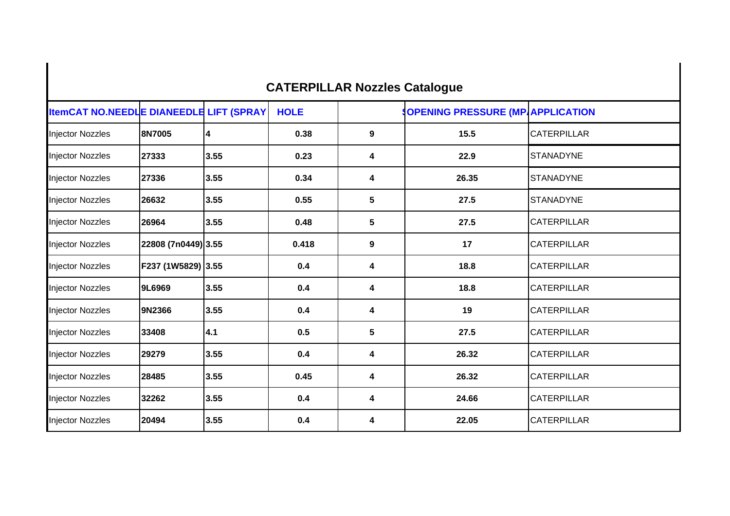## **CATERPILLAR Nozzles Catalogue**

| <b>ItemCAT NO.NEEDLE DIANEEDLE LIFT (SPRAY</b> |                     |      | <b>HOLE</b> |                  | <b>SOPENING PRESSURE (MP APPLICATION</b> |                    |
|------------------------------------------------|---------------------|------|-------------|------------------|------------------------------------------|--------------------|
| <b>Injector Nozzles</b>                        | 8N7005              | 4    | 0.38        | 9                | 15.5                                     | <b>CATERPILLAR</b> |
| <b>Injector Nozzles</b>                        | 27333               | 3.55 | 0.23        | 4                | 22.9                                     | <b>STANADYNE</b>   |
| <b>Injector Nozzles</b>                        | 27336               | 3.55 | 0.34        | 4                | 26.35                                    | <b>STANADYNE</b>   |
| <b>Injector Nozzles</b>                        | 26632               | 3.55 | 0.55        | $\sqrt{5}$       | 27.5                                     | <b>STANADYNE</b>   |
| <b>Injector Nozzles</b>                        | 26964               | 3.55 | 0.48        | 5                | 27.5                                     | <b>CATERPILLAR</b> |
| <b>Injector Nozzles</b>                        | 22808 (7n0449) 3.55 |      | 0.418       | $\boldsymbol{9}$ | 17                                       | <b>CATERPILLAR</b> |
| <b>Injector Nozzles</b>                        | F237 (1W5829)  3.55 |      | 0.4         | 4                | 18.8                                     | <b>CATERPILLAR</b> |
| <b>Injector Nozzles</b>                        | 9L6969              | 3.55 | 0.4         | 4                | 18.8                                     | <b>CATERPILLAR</b> |
| <b>Injector Nozzles</b>                        | 9N2366              | 3.55 | 0.4         | 4                | 19                                       | <b>CATERPILLAR</b> |
| <b>Injector Nozzles</b>                        | 33408               | 4.1  | 0.5         | $5\phantom{.0}$  | 27.5                                     | <b>CATERPILLAR</b> |
| <b>Injector Nozzles</b>                        | 29279               | 3.55 | 0.4         | 4                | 26.32                                    | <b>CATERPILLAR</b> |
| <b>Injector Nozzles</b>                        | 28485               | 3.55 | 0.45        | 4                | 26.32                                    | <b>CATERPILLAR</b> |
| <b>Injector Nozzles</b>                        | 32262               | 3.55 | 0.4         | 4                | 24.66                                    | <b>CATERPILLAR</b> |
| <b>Injector Nozzles</b>                        | 20494               | 3.55 | 0.4         | 4                | 22.05                                    | <b>CATERPILLAR</b> |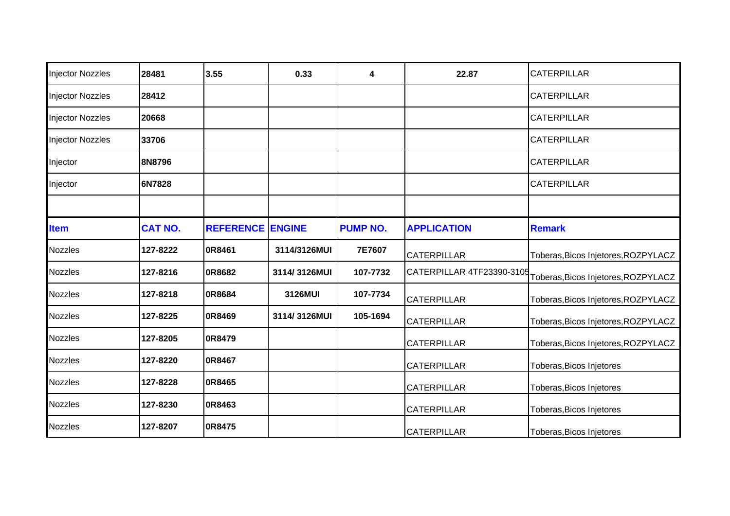| <b>Injector Nozzles</b> | 28481          | 3.55                    | 0.33         | 4               | 22.87                     | <b>CATERPILLAR</b>                  |
|-------------------------|----------------|-------------------------|--------------|-----------------|---------------------------|-------------------------------------|
| <b>Injector Nozzles</b> | 28412          |                         |              |                 |                           | <b>CATERPILLAR</b>                  |
| <b>Injector Nozzles</b> | 20668          |                         |              |                 |                           | <b>CATERPILLAR</b>                  |
| <b>Injector Nozzles</b> | 33706          |                         |              |                 |                           | <b>CATERPILLAR</b>                  |
| Injector                | 8N8796         |                         |              |                 |                           | <b>CATERPILLAR</b>                  |
| Injector                | 6N7828         |                         |              |                 |                           | <b>CATERPILLAR</b>                  |
|                         |                |                         |              |                 |                           |                                     |
| <b>Item</b>             | <b>CAT NO.</b> | <b>REFERENCE ENGINE</b> |              | <b>PUMP NO.</b> | <b>APPLICATION</b>        | <b>Remark</b>                       |
| <b>Nozzles</b>          | 127-8222       | 0R8461                  | 3114/3126MUI | 7E7607          | <b>CATERPILLAR</b>        | Toberas, Bicos Injetores, ROZPYLACZ |
| <b>Nozzles</b>          | 127-8216       | <b>0R8682</b>           | 3114/3126MUI | 107-7732        | CATERPILLAR 4TF23390-3105 | Toberas, Bicos Injetores, ROZPYLACZ |
| <b>Nozzles</b>          | 127-8218       | 0R8684                  | 3126MUI      | 107-7734        | <b>CATERPILLAR</b>        | Toberas, Bicos Injetores, ROZPYLACZ |
| <b>Nozzles</b>          | 127-8225       | <b>0R8469</b>           | 3114/3126MUI | 105-1694        | <b>CATERPILLAR</b>        | Toberas, Bicos Injetores, ROZPYLACZ |
| <b>Nozzles</b>          | 127-8205       | 0R8479                  |              |                 | <b>CATERPILLAR</b>        | Toberas, Bicos Injetores, ROZPYLACZ |
| <b>Nozzles</b>          | 127-8220       | 0R8467                  |              |                 | <b>CATERPILLAR</b>        | Toberas, Bicos Injetores            |
| <b>Nozzles</b>          | 127-8228       | <b>0R8465</b>           |              |                 | <b>CATERPILLAR</b>        | Toberas, Bicos Injetores            |
| <b>Nozzles</b>          | 127-8230       | 0R8463                  |              |                 | <b>CATERPILLAR</b>        | Toberas, Bicos Injetores            |
| <b>Nozzles</b>          | 127-8207       | <b>0R8475</b>           |              |                 | <b>CATERPILLAR</b>        | Toberas, Bicos Injetores            |